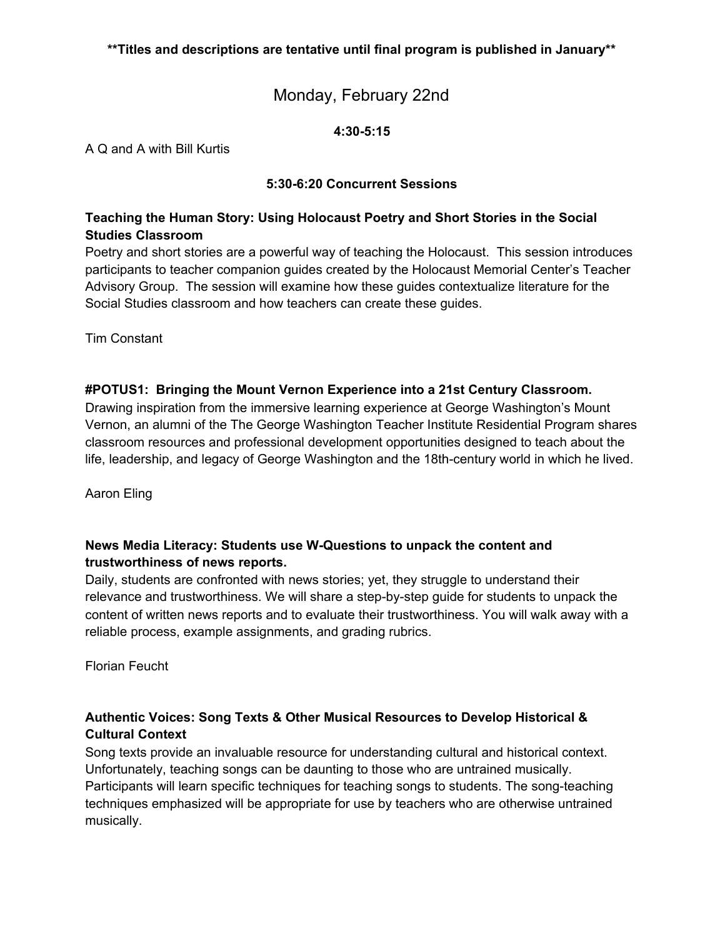## Monday, February 22nd

#### **4:30-5:15**

A Q and A with Bill Kurtis

#### **5:30-6:20 Concurrent Sessions**

#### **Teaching the Human Story: Using Holocaust Poetry and Short Stories in the Social Studies Classroom**

Poetry and short stories are a powerful way of teaching the Holocaust. This session introduces participants to teacher companion guides created by the Holocaust Memorial Center's Teacher Advisory Group. The session will examine how these guides contextualize literature for the Social Studies classroom and how teachers can create these guides.

Tim Constant

#### **#POTUS1: Bringing the Mount Vernon Experience into a 21st Century Classroom.**

Drawing inspiration from the immersive learning experience at George Washington's Mount Vernon, an alumni of the The George Washington Teacher Institute Residential Program shares classroom resources and professional development opportunities designed to teach about the life, leadership, and legacy of George Washington and the 18th-century world in which he lived.

Aaron Eling

#### **News Media Literacy: Students use W-Questions to unpack the content and trustworthiness of news reports.**

Daily, students are confronted with news stories; yet, they struggle to understand their relevance and trustworthiness. We will share a step-by-step guide for students to unpack the content of written news reports and to evaluate their trustworthiness. You will walk away with a reliable process, example assignments, and grading rubrics.

Florian Feucht

## **Authentic Voices: Song Texts & Other Musical Resources to Develop Historical & Cultural Context**

Song texts provide an invaluable resource for understanding cultural and historical context. Unfortunately, teaching songs can be daunting to those who are untrained musically. Participants will learn specific techniques for teaching songs to students. The song-teaching techniques emphasized will be appropriate for use by teachers who are otherwise untrained musically.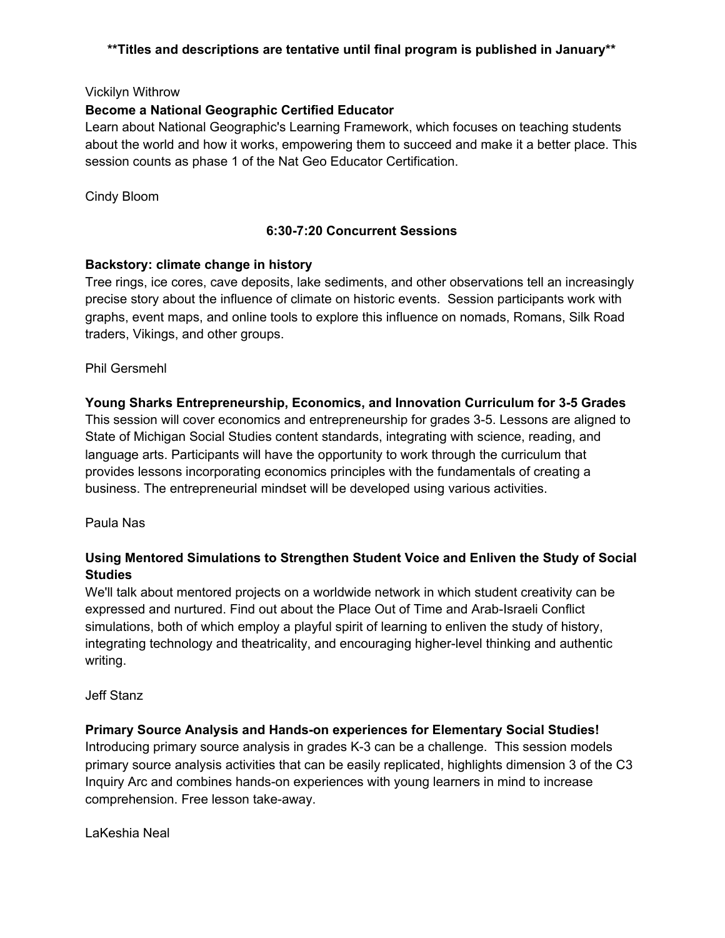#### Vickilyn Withrow

#### **Become a National Geographic Certified Educator**

Learn about National Geographic's Learning Framework, which focuses on teaching students about the world and how it works, empowering them to succeed and make it a better place. This session counts as phase 1 of the Nat Geo Educator Certification.

#### Cindy Bloom

#### **6:30-7:20 Concurrent Sessions**

#### **Backstory: climate change in history**

Tree rings, ice cores, cave deposits, lake sediments, and other observations tell an increasingly precise story about the influence of climate on historic events. Session participants work with graphs, event maps, and online tools to explore this influence on nomads, Romans, Silk Road traders, Vikings, and other groups.

#### Phil Gersmehl

#### **Young Sharks Entrepreneurship, Economics, and Innovation Curriculum for 3-5 Grades**

This session will cover economics and entrepreneurship for grades 3-5. Lessons are aligned to State of Michigan Social Studies content standards, integrating with science, reading, and language arts. Participants will have the opportunity to work through the curriculum that provides lessons incorporating economics principles with the fundamentals of creating a business. The entrepreneurial mindset will be developed using various activities.

#### Paula Nas

#### **Using Mentored Simulations to Strengthen Student Voice and Enliven the Study of Social Studies**

We'll talk about mentored projects on a worldwide network in which student creativity can be expressed and nurtured. Find out about the Place Out of Time and Arab-Israeli Conflict simulations, both of which employ a playful spirit of learning to enliven the study of history, integrating technology and theatricality, and encouraging higher-level thinking and authentic writing.

#### Jeff Stanz

#### **Primary Source Analysis and Hands-on experiences for Elementary Social Studies!**

Introducing primary source analysis in grades K-3 can be a challenge. This session models primary source analysis activities that can be easily replicated, highlights dimension 3 of the C3 Inquiry Arc and combines hands-on experiences with young learners in mind to increase comprehension. Free lesson take-away.

#### LaKeshia Neal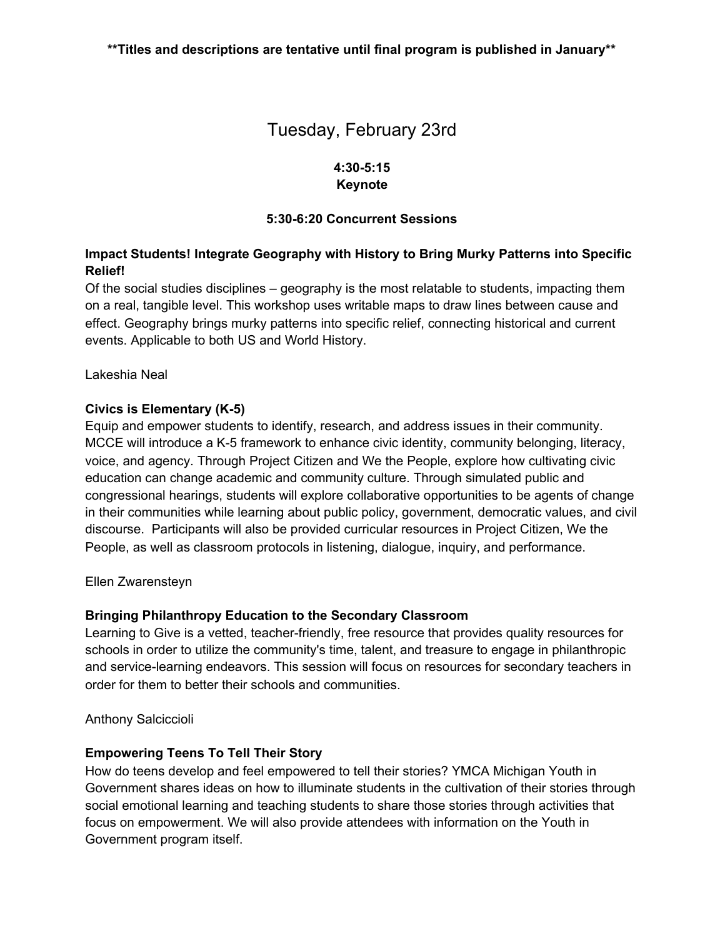# Tuesday, February 23rd

#### **4:30-5:15 Keynote**

#### **5:30-6:20 Concurrent Sessions**

### **Impact Students! Integrate Geography with History to Bring Murky Patterns into Specific Relief!**

Of the social studies disciplines – geography is the most relatable to students, impacting them on a real, tangible level. This workshop uses writable maps to draw lines between cause and effect. Geography brings murky patterns into specific relief, connecting historical and current events. Applicable to both US and World History.

Lakeshia Neal

#### **Civics is Elementary (K-5)**

Equip and empower students to identify, research, and address issues in their community. MCCE will introduce a K-5 framework to enhance civic identity, community belonging, literacy, voice, and agency. Through Project Citizen and We the People, explore how cultivating civic education can change academic and community culture. Through simulated public and congressional hearings, students will explore collaborative opportunities to be agents of change in their communities while learning about public policy, government, democratic values, and civil discourse. Participants will also be provided curricular resources in Project Citizen, We the People, as well as classroom protocols in listening, dialogue, inquiry, and performance.

Ellen Zwarensteyn

#### **Bringing Philanthropy Education to the Secondary Classroom**

Learning to Give is a vetted, teacher-friendly, free resource that provides quality resources for schools in order to utilize the community's time, talent, and treasure to engage in philanthropic and service-learning endeavors. This session will focus on resources for secondary teachers in order for them to better their schools and communities.

Anthony Salciccioli

#### **Empowering Teens To Tell Their Story**

How do teens develop and feel empowered to tell their stories? YMCA Michigan Youth in Government shares ideas on how to illuminate students in the cultivation of their stories through social emotional learning and teaching students to share those stories through activities that focus on empowerment. We will also provide attendees with information on the Youth in Government program itself.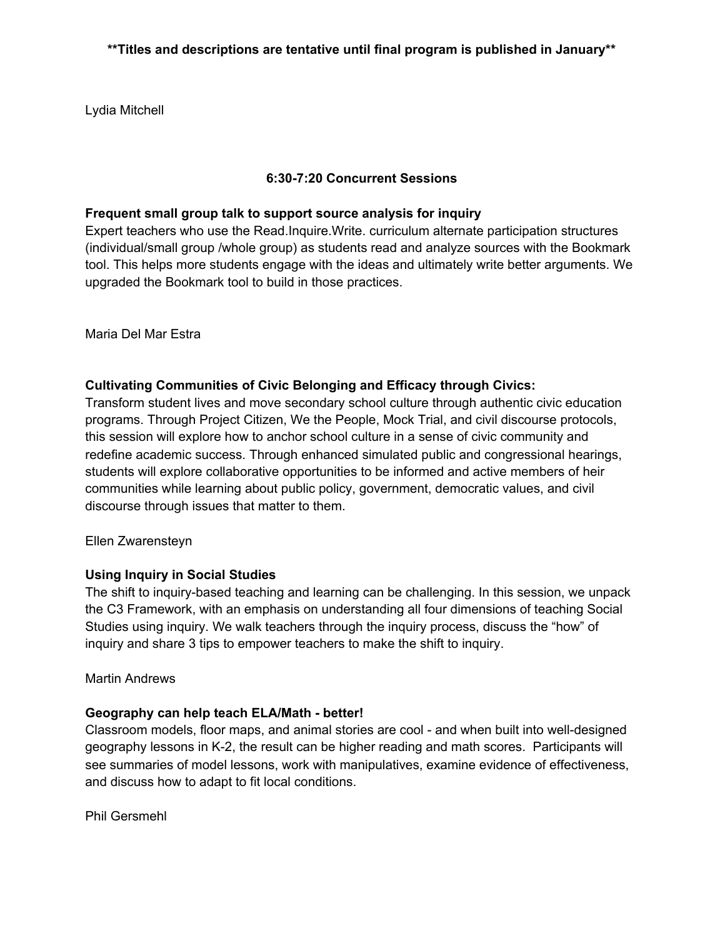Lydia Mitchell

#### **6:30-7:20 Concurrent Sessions**

#### **Frequent small group talk to support source analysis for inquiry**

Expert teachers who use the Read.Inquire.Write. curriculum alternate participation structures (individual/small group /whole group) as students read and analyze sources with the Bookmark tool. This helps more students engage with the ideas and ultimately write better arguments. We upgraded the Bookmark tool to build in those practices.

Maria Del Mar Estra

#### **Cultivating Communities of Civic Belonging and Efficacy through Civics:**

Transform student lives and move secondary school culture through authentic civic education programs. Through Project Citizen, We the People, Mock Trial, and civil discourse protocols, this session will explore how to anchor school culture in a sense of civic community and redefine academic success. Through enhanced simulated public and congressional hearings, students will explore collaborative opportunities to be informed and active members of heir communities while learning about public policy, government, democratic values, and civil discourse through issues that matter to them.

#### Ellen Zwarensteyn

#### **Using Inquiry in Social Studies**

The shift to inquiry-based teaching and learning can be challenging. In this session, we unpack the C3 Framework, with an emphasis on understanding all four dimensions of teaching Social Studies using inquiry. We walk teachers through the inquiry process, discuss the "how" of inquiry and share 3 tips to empower teachers to make the shift to inquiry.

#### Martin Andrews

#### **Geography can help teach ELA/Math - better!**

Classroom models, floor maps, and animal stories are cool - and when built into well-designed geography lessons in K-2, the result can be higher reading and math scores. Participants will see summaries of model lessons, work with manipulatives, examine evidence of effectiveness, and discuss how to adapt to fit local conditions.

Phil Gersmehl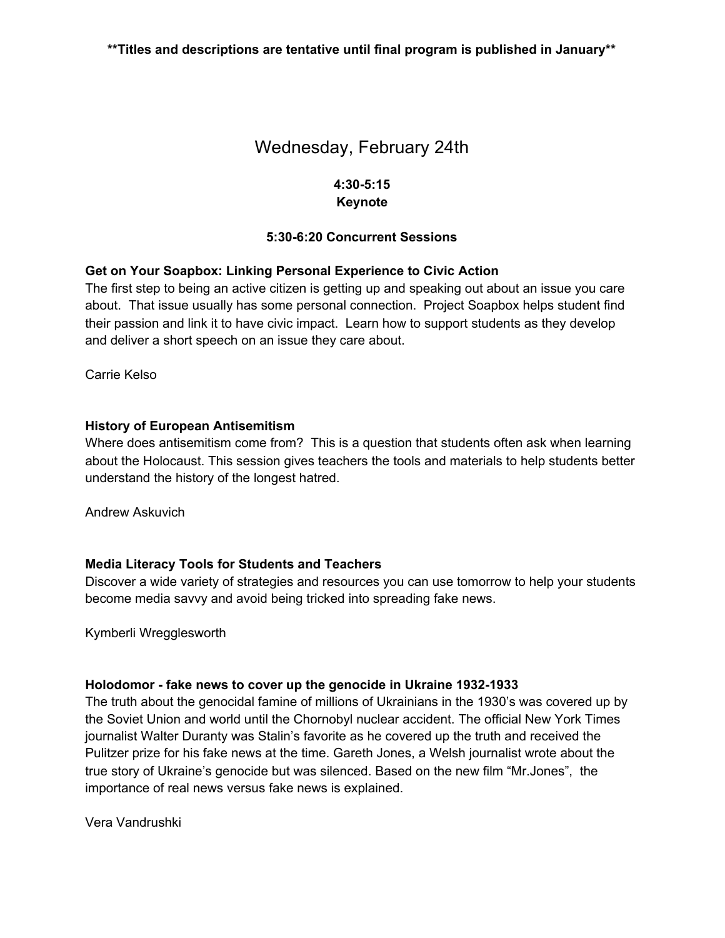# Wednesday, February 24th

#### **4:30-5:15 Keynote**

#### **5:30-6:20 Concurrent Sessions**

#### **Get on Your Soapbox: Linking Personal Experience to Civic Action**

The first step to being an active citizen is getting up and speaking out about an issue you care about. That issue usually has some personal connection. Project Soapbox helps student find their passion and link it to have civic impact. Learn how to support students as they develop and deliver a short speech on an issue they care about.

Carrie Kelso

#### **History of European Antisemitism**

Where does antisemitism come from? This is a question that students often ask when learning about the Holocaust. This session gives teachers the tools and materials to help students better understand the history of the longest hatred.

Andrew Askuvich

#### **Media Literacy Tools for Students and Teachers**

Discover a wide variety of strategies and resources you can use tomorrow to help your students become media savvy and avoid being tricked into spreading fake news.

Kymberli Wregglesworth

#### **Holodomor - fake news to cover up the genocide in Ukraine 1932-1933**

The truth about the genocidal famine of millions of Ukrainians in the 1930's was covered up by the Soviet Union and world until the Chornobyl nuclear accident. The official New York Times journalist Walter Duranty was Stalin's favorite as he covered up the truth and received the Pulitzer prize for his fake news at the time. Gareth Jones, a Welsh journalist wrote about the true story of Ukraine's genocide but was silenced. Based on the new film "Mr.Jones", the importance of real news versus fake news is explained.

Vera Vandrushki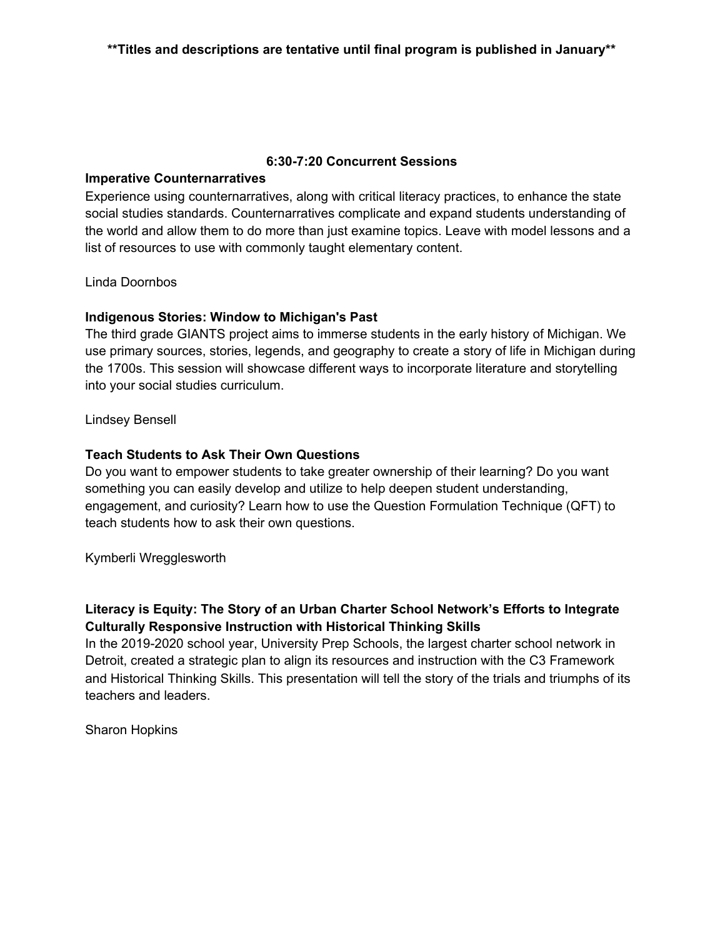#### **6:30-7:20 Concurrent Sessions**

#### **Imperative Counternarratives**

Experience using counternarratives, along with critical literacy practices, to enhance the state social studies standards. Counternarratives complicate and expand students understanding of the world and allow them to do more than just examine topics. Leave with model lessons and a list of resources to use with commonly taught elementary content.

#### Linda Doornbos

#### **Indigenous Stories: Window to Michigan's Past**

The third grade GIANTS project aims to immerse students in the early history of Michigan. We use primary sources, stories, legends, and geography to create a story of life in Michigan during the 1700s. This session will showcase different ways to incorporate literature and storytelling into your social studies curriculum.

#### Lindsey Bensell

#### **Teach Students to Ask Their Own Questions**

Do you want to empower students to take greater ownership of their learning? Do you want something you can easily develop and utilize to help deepen student understanding, engagement, and curiosity? Learn how to use the Question Formulation Technique (QFT) to teach students how to ask their own questions.

Kymberli Wregglesworth

## **Literacy is Equity: The Story of an Urban Charter School Network's Efforts to Integrate Culturally Responsive Instruction with Historical Thinking Skills**

In the 2019-2020 school year, University Prep Schools, the largest charter school network in Detroit, created a strategic plan to align its resources and instruction with the C3 Framework and Historical Thinking Skills. This presentation will tell the story of the trials and triumphs of its teachers and leaders.

Sharon Hopkins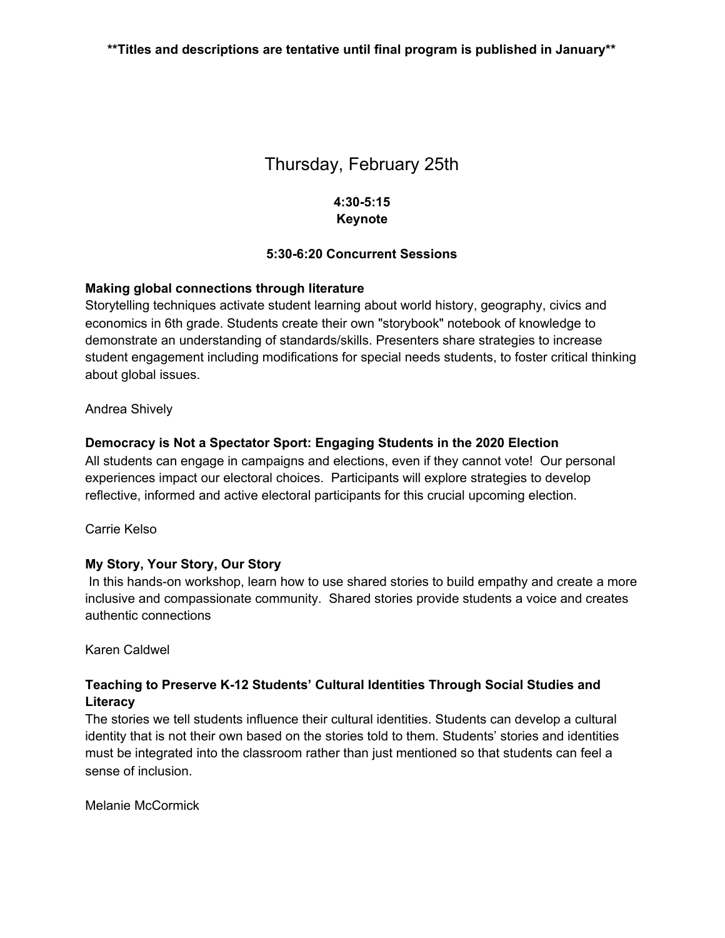# Thursday, February 25th

### **4:30-5:15 Keynote**

#### **5:30-6:20 Concurrent Sessions**

#### **Making global connections through literature**

Storytelling techniques activate student learning about world history, geography, civics and economics in 6th grade. Students create their own "storybook" notebook of knowledge to demonstrate an understanding of standards/skills. Presenters share strategies to increase student engagement including modifications for special needs students, to foster critical thinking about global issues.

#### Andrea Shively

#### **Democracy is Not a Spectator Sport: Engaging Students in the 2020 Election**

All students can engage in campaigns and elections, even if they cannot vote! Our personal experiences impact our electoral choices. Participants will explore strategies to develop reflective, informed and active electoral participants for this crucial upcoming election.

Carrie Kelso

#### **My Story, Your Story, Our Story**

In this hands-on workshop, learn how to use shared stories to build empathy and create a more inclusive and compassionate community. Shared stories provide students a voice and creates authentic connections

#### Karen Caldwel

#### **Teaching to Preserve K-12 Students' Cultural Identities Through Social Studies and Literacy**

The stories we tell students influence their cultural identities. Students can develop a cultural identity that is not their own based on the stories told to them. Students' stories and identities must be integrated into the classroom rather than just mentioned so that students can feel a sense of inclusion.

Melanie McCormick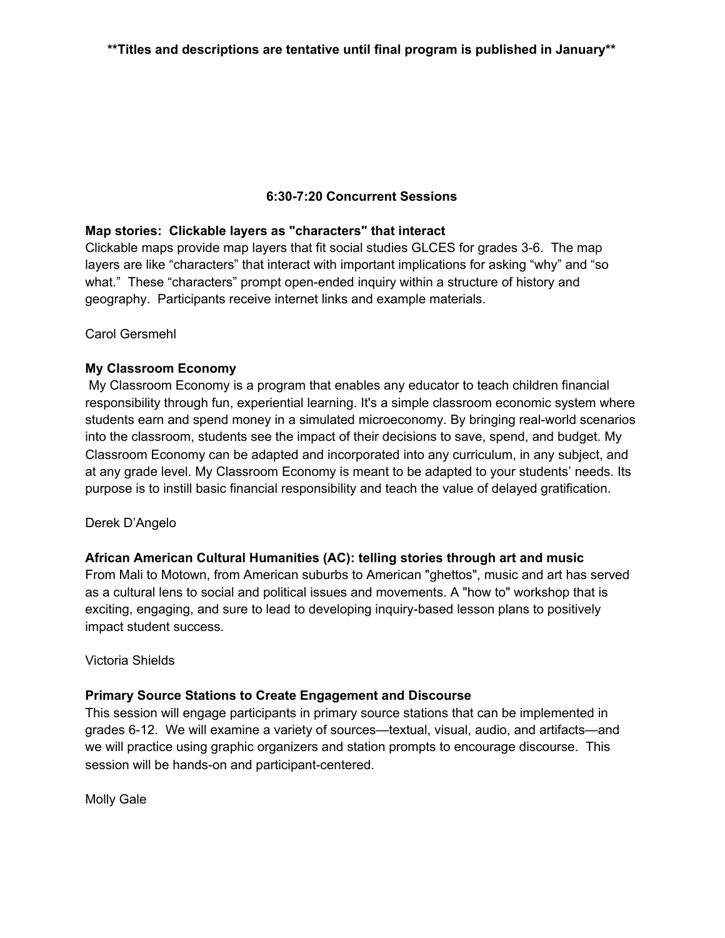#### **6:30-7:20 Concurrent Sessions**

#### **Map stories: Clickable layers as "characters" that interact**

Clickable maps provide map layers that fit social studies GLCES for grades 3-6. The map layers are like "characters" that interact with important implications for asking "why" and "so what." These "characters" prompt open-ended inquiry within a structure of history and geography. Participants receive internet links and example materials.

Carol Gersmehl

#### **My Classroom Economy**

My Classroom Economy is a program that enables any educator to teach children financial responsibility through fun, experiential learning. It's a simple classroom economic system where students earn and spend money in a simulated microeconomy. By bringing real-world scenarios into the classroom, students see the impact of their decisions to save, spend, and budget. My Classroom Economy can be adapted and incorporated into any curriculum, in any subject, and at any grade level. My Classroom Economy is meant to be adapted to your students' needs. Its purpose is to instill basic financial responsibility and teach the value of delayed gratification.

#### Derek D'Angelo

#### **African American Cultural Humanities (AC): telling stories through art and music**

From Mali to Motown, from American suburbs to American "ghettos", music and art has served as a cultural lens to social and political issues and movements. A "how to" workshop that is exciting, engaging, and sure to lead to developing inquiry-based lesson plans to positively impact student success.

#### Victoria Shields

#### **Primary Source Stations to Create Engagement and Discourse**

This session will engage participants in primary source stations that can be implemented in grades 6-12. We will examine a variety of sources—textual, visual, audio, and artifacts—and we will practice using graphic organizers and station prompts to encourage discourse. This session will be hands-on and participant-centered.

Molly Gale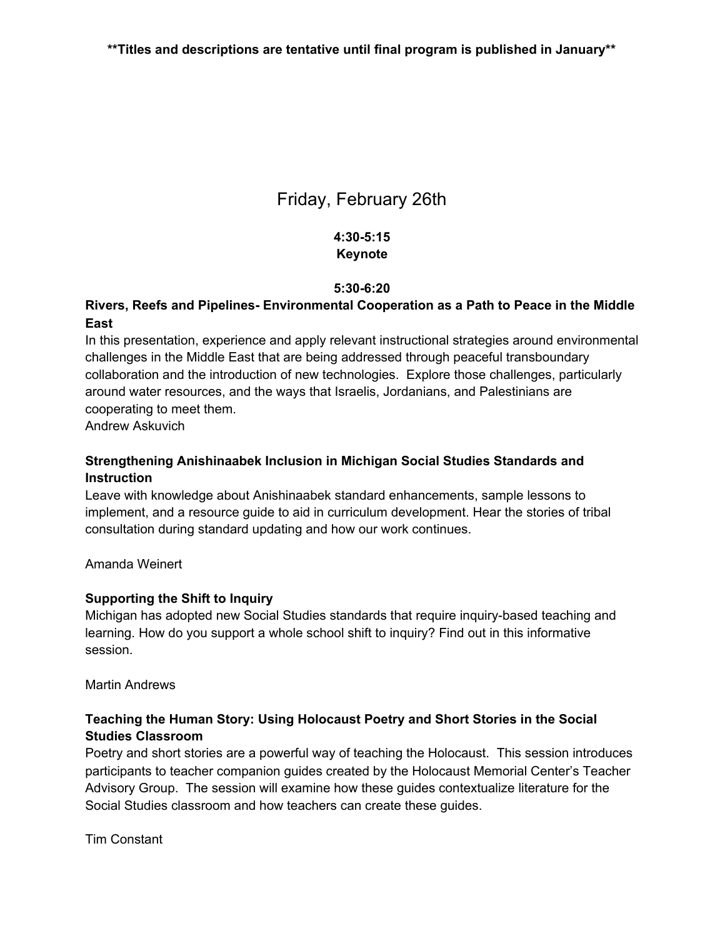# Friday, February 26th

## **4:30-5:15 Keynote**

#### **5:30-6:20**

#### **Rivers, Reefs and Pipelines- Environmental Cooperation as a Path to Peace in the Middle East**

In this presentation, experience and apply relevant instructional strategies around environmental challenges in the Middle East that are being addressed through peaceful transboundary collaboration and the introduction of new technologies. Explore those challenges, particularly around water resources, and the ways that Israelis, Jordanians, and Palestinians are cooperating to meet them.

Andrew Askuvich

## **Strengthening Anishinaabek Inclusion in Michigan Social Studies Standards and Instruction**

Leave with knowledge about Anishinaabek standard enhancements, sample lessons to implement, and a resource guide to aid in curriculum development. Hear the stories of tribal consultation during standard updating and how our work continues.

Amanda Weinert

#### **Supporting the Shift to Inquiry**

Michigan has adopted new Social Studies standards that require inquiry-based teaching and learning. How do you support a whole school shift to inquiry? Find out in this informative session.

Martin Andrews

## **Teaching the Human Story: Using Holocaust Poetry and Short Stories in the Social Studies Classroom**

Poetry and short stories are a powerful way of teaching the Holocaust. This session introduces participants to teacher companion guides created by the Holocaust Memorial Center's Teacher Advisory Group. The session will examine how these guides contextualize literature for the Social Studies classroom and how teachers can create these guides.

Tim Constant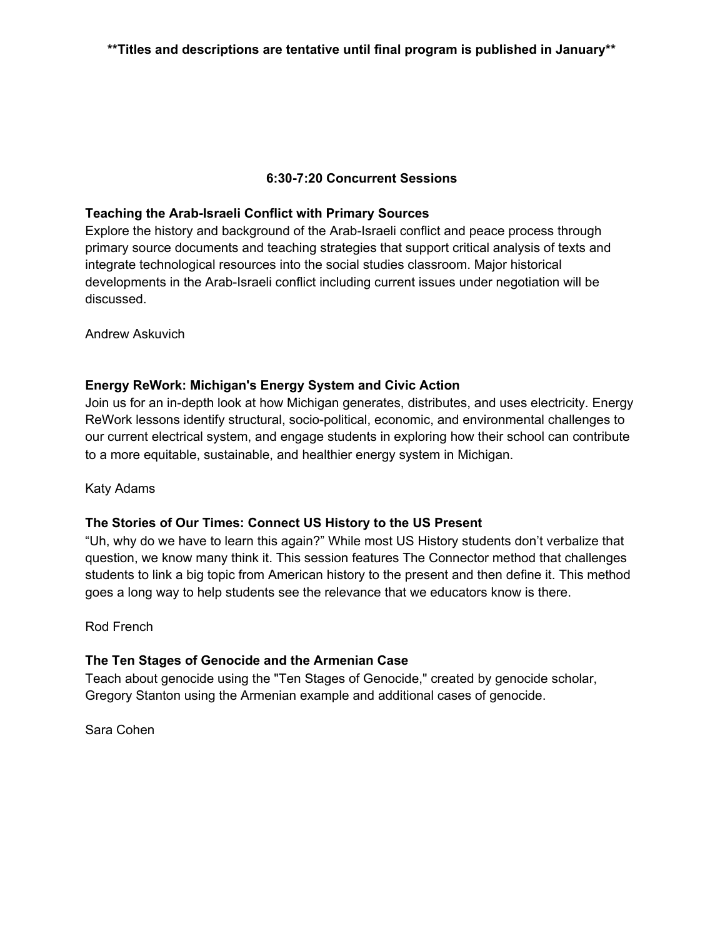#### **6:30-7:20 Concurrent Sessions**

#### **Teaching the Arab-Israeli Conflict with Primary Sources**

Explore the history and background of the Arab-Israeli conflict and peace process through primary source documents and teaching strategies that support critical analysis of texts and integrate technological resources into the social studies classroom. Major historical developments in the Arab-Israeli conflict including current issues under negotiation will be discussed.

Andrew Askuvich

## **Energy ReWork: Michigan's Energy System and Civic Action**

Join us for an in-depth look at how Michigan generates, distributes, and uses electricity. Energy ReWork lessons identify structural, socio-political, economic, and environmental challenges to our current electrical system, and engage students in exploring how their school can contribute to a more equitable, sustainable, and healthier energy system in Michigan.

Katy Adams

#### **The Stories of Our Times: Connect US History to the US Present**

"Uh, why do we have to learn this again?" While most US History students don't verbalize that question, we know many think it. This session features The Connector method that challenges students to link a big topic from American history to the present and then define it. This method goes a long way to help students see the relevance that we educators know is there.

Rod French

#### **The Ten Stages of Genocide and the Armenian Case**

Teach about genocide using the "Ten Stages of Genocide," created by genocide scholar, Gregory Stanton using the Armenian example and additional cases of genocide.

Sara Cohen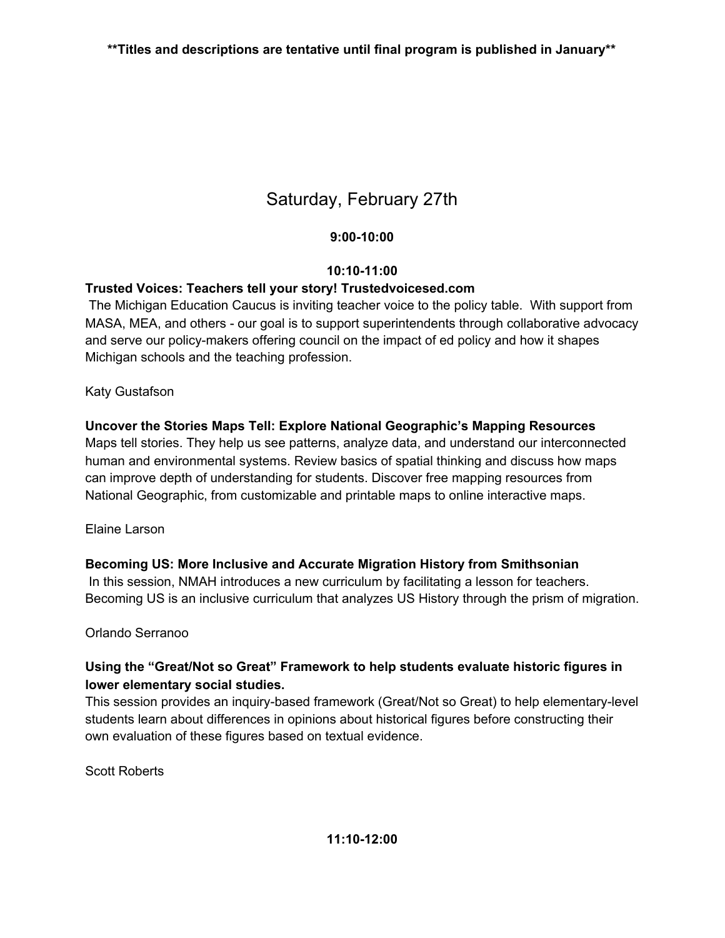# Saturday, February 27th

## **9:00-10:00**

## **10:10-11:00**

## **Trusted Voices: Teachers tell your story! Trustedvoicesed.com**

The Michigan Education Caucus is inviting teacher voice to the policy table. With support from MASA, MEA, and others - our goal is to support superintendents through collaborative advocacy and serve our policy-makers offering council on the impact of ed policy and how it shapes Michigan schools and the teaching profession.

## Katy Gustafson

## **Uncover the Stories Maps Tell: Explore National Geographic's Mapping Resources**

Maps tell stories. They help us see patterns, analyze data, and understand our interconnected human and environmental systems. Review basics of spatial thinking and discuss how maps can improve depth of understanding for students. Discover free mapping resources from National Geographic, from customizable and printable maps to online interactive maps.

## Elaine Larson

## **Becoming US: More Inclusive and Accurate Migration History from Smithsonian**

In this session, NMAH introduces a new curriculum by facilitating a lesson for teachers. Becoming US is an inclusive curriculum that analyzes US History through the prism of migration.

## Orlando Serranoo

## **Using the "Great/Not so Great" Framework to help students evaluate historic figures in lower elementary social studies.**

This session provides an inquiry-based framework (Great/Not so Great) to help elementary-level students learn about differences in opinions about historical figures before constructing their own evaluation of these figures based on textual evidence.

Scott Roberts